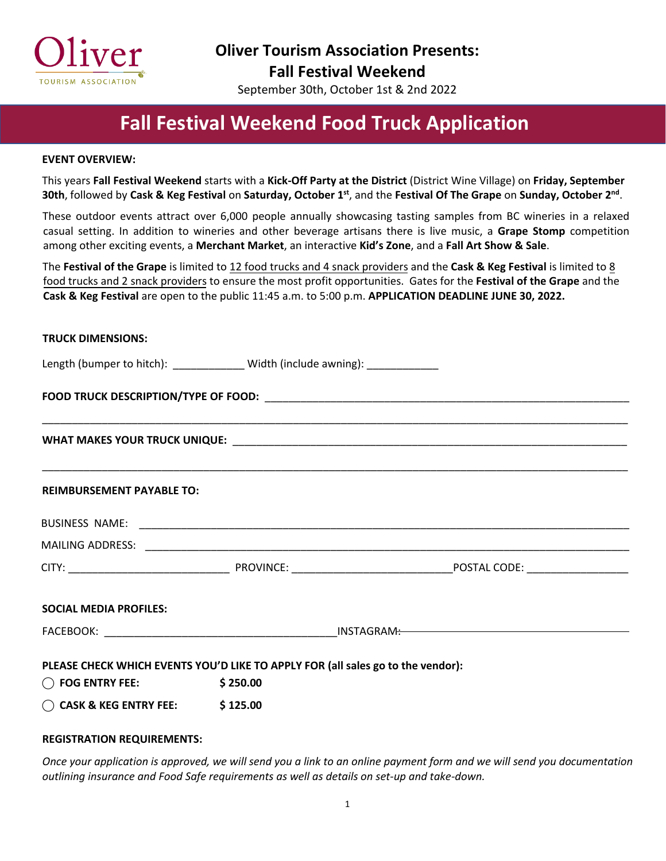

**Oliver Tourism Association Presents: Fall Festival Weekend** 

September 30th, October 1st & 2nd 2022

## **Fall Festival Weekend Food Truck Application**

#### **EVENT OVERVIEW:**

**TRUCK DIMENSIONS:** 

This years **Fall Festival Weekend** starts with a **Kick-Off Party at the District** (District Wine Village) on **Friday, September 30th**, followed by Cask & Keg Festival on Saturday, October 1st, and the Festival Of The Grape on Sunday, October 2<sup>nd</sup>.

These outdoor events attract over 6,000 people annually showcasing tasting samples from BC wineries in a relaxed casual setting. In addition to wineries and other beverage artisans there is live music, a **Grape Stomp** competition among other exciting events, a **Merchant Market**, an interactive **Kid's Zone**, and a **Fall Art Show & Sale**.

The **Festival of the Grape** is limited to 12 food trucks and 4 snack providers and the **Cask & Keg Festival** is limited to 8 food trucks and 2 snack providers to ensure the most profit opportunities. Gates for the **Festival of the Grape** and the **Cask & Keg Festival** are open to the public 11:45 a.m. to 5:00 p.m. **APPLICATION DEADLINE JUNE 30, 2022.**

| <b>IKULK DIMENSIONS:</b>                     |                                                                                 |  |  |  |
|----------------------------------------------|---------------------------------------------------------------------------------|--|--|--|
|                                              | Length (bumper to hitch): ______________ Width (include awning): ______________ |  |  |  |
|                                              |                                                                                 |  |  |  |
|                                              |                                                                                 |  |  |  |
| <b>REIMBURSEMENT PAYABLE TO:</b>             |                                                                                 |  |  |  |
|                                              |                                                                                 |  |  |  |
|                                              |                                                                                 |  |  |  |
|                                              |                                                                                 |  |  |  |
| <b>SOCIAL MEDIA PROFILES:</b>                |                                                                                 |  |  |  |
|                                              |                                                                                 |  |  |  |
|                                              | PLEASE CHECK WHICH EVENTS YOU'D LIKE TO APPLY FOR (all sales go to the vendor): |  |  |  |
| $\bigcirc$ FOG ENTRY FEE: $\qquad$ \$ 250.00 |                                                                                 |  |  |  |
| $\bigcirc$ CASK & KEG ENTRY FEE: \$125.00    |                                                                                 |  |  |  |

#### **REGISTRATION REQUIREMENTS:**

*Once your application is approved, we will send you a link to an online payment form and we will send you documentation outlining insurance and Food Safe requirements as well as details on set-up and take-down.*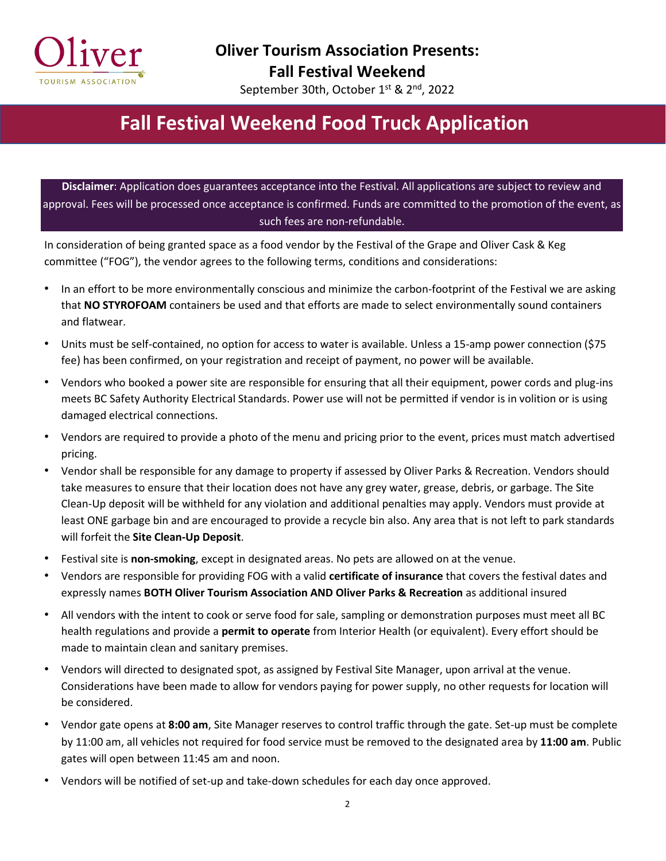

September 30th, October 1st & 2<sup>nd</sup>, 2022

# **Fall Festival Weekend Food Truck Application**

**Disclaimer**: Application does guarantees acceptance into the Festival. All applications are subject to review and approval. Fees will be processed once acceptance is confirmed. Funds are committed to the promotion of the event, as such fees are non-refundable.

In consideration of being granted space as a food vendor by the Festival of the Grape and Oliver Cask & Keg committee ("FOG"), the vendor agrees to the following terms, conditions and considerations:

- In an effort to be more environmentally conscious and minimize the carbon-footprint of the Festival we are asking that **NO STYROFOAM** containers be used and that efforts are made to select environmentally sound containers and flatwear.
- Units must be self-contained, no option for access to water is available. Unless a 15-amp power connection (\$75 fee) has been confirmed, on your registration and receipt of payment, no power will be available.
- Vendors who booked a power site are responsible for ensuring that all their equipment, power cords and plug-ins meets BC Safety Authority Electrical Standards. Power use will not be permitted if vendor is in volition or is using damaged electrical connections.
- Vendors are required to provide a photo of the menu and pricing prior to the event, prices must match advertised pricing.
- Vendor shall be responsible for any damage to property if assessed by Oliver Parks & Recreation. Vendors should take measures to ensure that their location does not have any grey water, grease, debris, or garbage. The Site Clean-Up deposit will be withheld for any violation and additional penalties may apply. Vendors must provide at least ONE garbage bin and are encouraged to provide a recycle bin also. Any area that is not left to park standards will forfeit the **Site Clean-Up Deposit**.
- Festival site is **non-smoking**, except in designated areas. No pets are allowed on at the venue.
- Vendors are responsible for providing FOG with a valid **certificate of insurance** that covers the festival dates and expressly names **BOTH Oliver Tourism Association AND Oliver Parks & Recreation** as additional insured
- All vendors with the intent to cook or serve food for sale, sampling or demonstration purposes must meet all BC health regulations and provide a **permit to operate** from Interior Health (or equivalent). Every effort should be made to maintain clean and sanitary premises.
- Vendors will directed to designated spot, as assigned by Festival Site Manager, upon arrival at the venue. Considerations have been made to allow for vendors paying for power supply, no other requests for location will be considered.
- Vendor gate opens at **8:00 am**, Site Manager reserves to control traffic through the gate. Set-up must be complete by 11:00 am, all vehicles not required for food service must be removed to the designated area by **11:00 am**. Public gates will open between 11:45 am and noon.
- Vendors will be notified of set-up and take-down schedules for each day once approved.